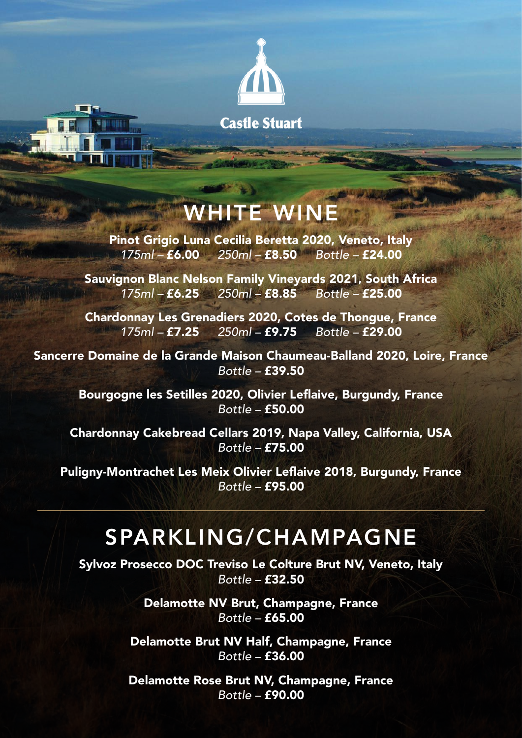

## WHITE WINE

Pinot Grigio Luna Cecilia Beretta 2020, Veneto, Italy *175ml –* £6.00 *250ml –* £8.50 *Bottle –* £24.00

Sauvignon Blanc Nelson Family Vineyards 2021, South Africa *175ml –* £6.25 *250ml –* £8.85 *Bottle –* £25.00

Chardonnay Les Grenadiers 2020, Cotes de Thongue, France *175ml –* £7.25 *250ml –* £9.75 *Bottle –* £29.00

Sancerre Domaine de la Grande Maison Chaumeau-Balland 2020, Loire, France *Bottle –* £39.50

Bourgogne les Setilles 2020, Olivier Leflaive, Burgundy, France *Bottle –* £50.00

Chardonnay Cakebread Cellars 2019, Napa Valley, California, USA *Bottle –* £75.00

Puligny-Montrachet Les Meix Olivier Leflaive 2018, Burgundy, France *Bottle –* £95.00

## SPARKLING/CHAMPAGNE

Sylvoz Prosecco DOC Treviso Le Colture Brut NV, Veneto, Italy *Bottle –* £32.50

> Delamotte NV Brut, Champagne, France *Bottle –* £65.00

Delamotte Brut NV Half, Champagne, France *Bottle –* £36.00

Delamotte Rose Brut NV, Champagne, France *Bottle –* £90.00